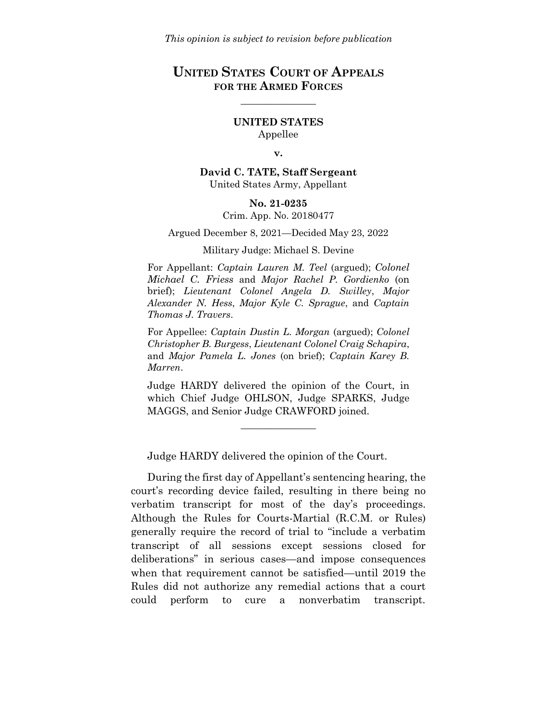# **UNITED STATES COURT OF APPEALS FOR THE ARMED FORCES**

 $\mathcal{L}$  , we have the set of  $\mathcal{L}$ 

### **UNITED STATES** Appellee

#### **v.**

**David C. TATE, Staff Sergeant** United States Army, Appellant

#### **No. 21-0235**

Crim. App. No. 20180477

Argued December 8, 2021—Decided May 23, 2022

#### Military Judge: Michael S. Devine

For Appellant: *Captain Lauren M. Teel* (argued); *Colonel Michael C. Friess* and *Major Rachel P. Gordienko* (on brief); *Lieutenant Colonel Angela D. Swilley*, *Major Alexander N. Hess*, *Major Kyle C. Sprague*, and *Captain Thomas J. Travers*.

For Appellee: *Captain Dustin L. Morgan* (argued); *Colonel Christopher B. Burgess*, *Lieutenant Colonel Craig Schapira*, and *Major Pamela L. Jones* (on brief); *Captain Karey B. Marren*.

Judge HARDY delivered the opinion of the Court, in which Chief Judge OHLSON, Judge SPARKS, Judge MAGGS, and Senior Judge CRAWFORD joined.

 $\mathcal{L}$  , we have the set of  $\mathcal{L}$ 

Judge HARDY delivered the opinion of the Court.

During the first day of Appellant's sentencing hearing, the court's recording device failed, resulting in there being no verbatim transcript for most of the day's proceedings. Although the Rules for Courts-Martial (R.C.M. or Rules) generally require the record of trial to "include a verbatim transcript of all sessions except sessions closed for deliberations" in serious cases—and impose consequences when that requirement cannot be satisfied—until 2019 the Rules did not authorize any remedial actions that a court could perform to cure a nonverbatim transcript.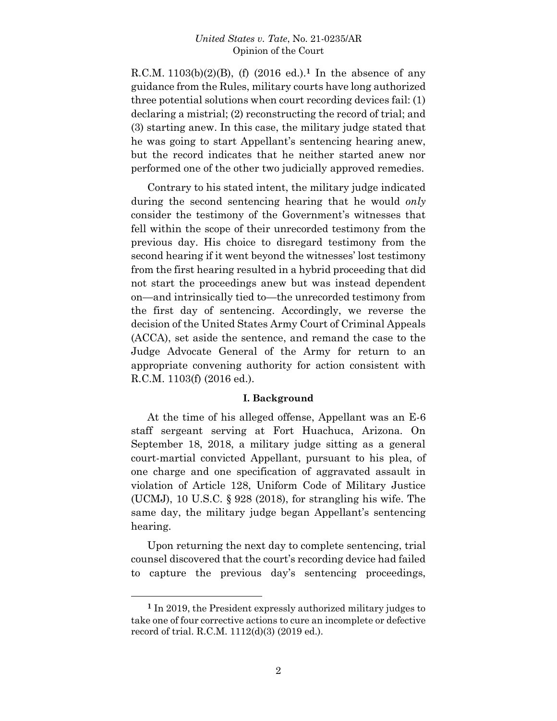R.C.M. 1103(b)(2)(B), (f) (2016 ed.). **<sup>1</sup>** In the absence of any guidance from the Rules, military courts have long authorized three potential solutions when court recording devices fail: (1) declaring a mistrial; (2) reconstructing the record of trial; and (3) starting anew. In this case, the military judge stated that he was going to start Appellant's sentencing hearing anew, but the record indicates that he neither started anew nor performed one of the other two judicially approved remedies.

Contrary to his stated intent, the military judge indicated during the second sentencing hearing that he would *only* consider the testimony of the Government's witnesses that fell within the scope of their unrecorded testimony from the previous day. His choice to disregard testimony from the second hearing if it went beyond the witnesses' lost testimony from the first hearing resulted in a hybrid proceeding that did not start the proceedings anew but was instead dependent on—and intrinsically tied to—the unrecorded testimony from the first day of sentencing. Accordingly, we reverse the decision of the United States Army Court of Criminal Appeals (ACCA), set aside the sentence, and remand the case to the Judge Advocate General of the Army for return to an appropriate convening authority for action consistent with R.C.M. 1103(f) (2016 ed.).

### **I. Background**

At the time of his alleged offense, Appellant was an E-6 staff sergeant serving at Fort Huachuca, Arizona. On September 18, 2018, a military judge sitting as a general court-martial convicted Appellant, pursuant to his plea, of one charge and one specification of aggravated assault in violation of Article 128, Uniform Code of Military Justice (UCMJ), 10 U.S.C. § 928 (2018), for strangling his wife. The same day, the military judge began Appellant's sentencing hearing.

Upon returning the next day to complete sentencing, trial counsel discovered that the court's recording device had failed to capture the previous day's sentencing proceedings,

l

**<sup>1</sup>** In 2019, the President expressly authorized military judges to take one of four corrective actions to cure an incomplete or defective record of trial. R.C.M. 1112(d)(3) (2019 ed.).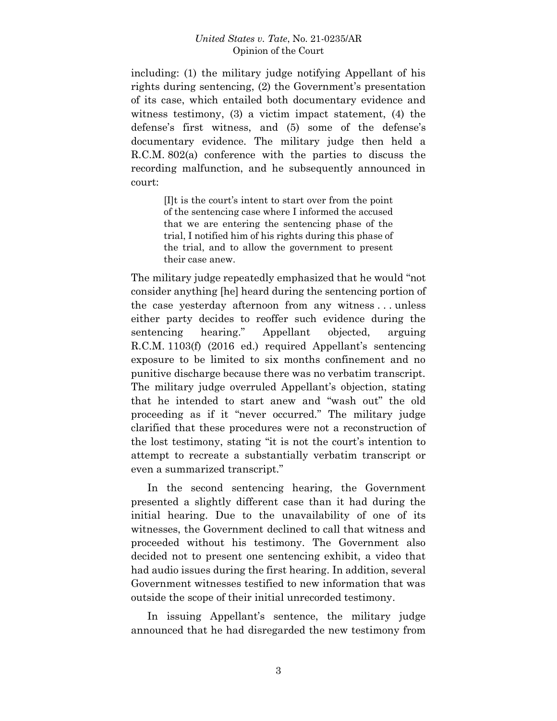including: (1) the military judge notifying Appellant of his rights during sentencing, (2) the Government's presentation of its case, which entailed both documentary evidence and witness testimony, (3) a victim impact statement, (4) the defense's first witness, and (5) some of the defense's documentary evidence. The military judge then held a R.C.M. 802(a) conference with the parties to discuss the recording malfunction, and he subsequently announced in court:

> [I]t is the court's intent to start over from the point of the sentencing case where I informed the accused that we are entering the sentencing phase of the trial, I notified him of his rights during this phase of the trial, and to allow the government to present their case anew.

The military judge repeatedly emphasized that he would "not consider anything [he] heard during the sentencing portion of the case yesterday afternoon from any witness . . . unless either party decides to reoffer such evidence during the sentencing hearing." Appellant objected, arguing R.C.M. 1103(f) (2016 ed.) required Appellant's sentencing exposure to be limited to six months confinement and no punitive discharge because there was no verbatim transcript. The military judge overruled Appellant's objection, stating that he intended to start anew and "wash out" the old proceeding as if it "never occurred." The military judge clarified that these procedures were not a reconstruction of the lost testimony, stating "it is not the court's intention to attempt to recreate a substantially verbatim transcript or even a summarized transcript."

In the second sentencing hearing, the Government presented a slightly different case than it had during the initial hearing. Due to the unavailability of one of its witnesses, the Government declined to call that witness and proceeded without his testimony. The Government also decided not to present one sentencing exhibit, a video that had audio issues during the first hearing. In addition, several Government witnesses testified to new information that was outside the scope of their initial unrecorded testimony.

In issuing Appellant's sentence, the military judge announced that he had disregarded the new testimony from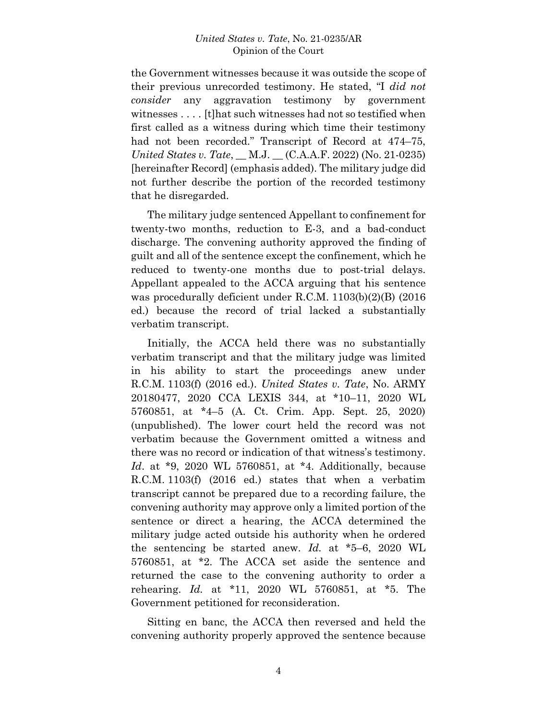the Government witnesses because it was outside the scope of their previous unrecorded testimony. He stated, "I *did not consider* any aggravation testimony by government witnesses . . . . [t]hat such witnesses had not so testified when first called as a witness during which time their testimony had not been recorded." Transcript of Record at 474–75, *United States v. Tate*, \_\_ M.J. \_\_ (C.A.A.F. 2022) (No. 21-0235) [hereinafter Record] (emphasis added). The military judge did not further describe the portion of the recorded testimony that he disregarded.

The military judge sentenced Appellant to confinement for twenty-two months, reduction to E-3, and a bad-conduct discharge. The convening authority approved the finding of guilt and all of the sentence except the confinement, which he reduced to twenty-one months due to post-trial delays. Appellant appealed to the ACCA arguing that his sentence was procedurally deficient under R.C.M. 1103(b)(2)(B) (2016 ed.) because the record of trial lacked a substantially verbatim transcript.

Initially, the ACCA held there was no substantially verbatim transcript and that the military judge was limited in his ability to start the proceedings anew under R.C.M. 1103(f) (2016 ed.). *United States v. Tate*, No. ARMY 20180477, 2020 CCA LEXIS 344, at \*10–11, 2020 WL 5760851, at \*4–5 (A. Ct. Crim. App. Sept. 25, 2020) (unpublished). The lower court held the record was not verbatim because the Government omitted a witness and there was no record or indication of that witness's testimony. *Id*. at \*9, 2020 WL 5760851, at \*4. Additionally, because R.C.M. 1103(f) (2016 ed.) states that when a verbatim transcript cannot be prepared due to a recording failure, the convening authority may approve only a limited portion of the sentence or direct a hearing, the ACCA determined the military judge acted outside his authority when he ordered the sentencing be started anew. *Id.* at \*5–6, 2020 WL 5760851, at \*2. The ACCA set aside the sentence and returned the case to the convening authority to order a rehearing. *Id.* at \*11, 2020 WL 5760851, at \*5. The Government petitioned for reconsideration.

Sitting en banc, the ACCA then reversed and held the convening authority properly approved the sentence because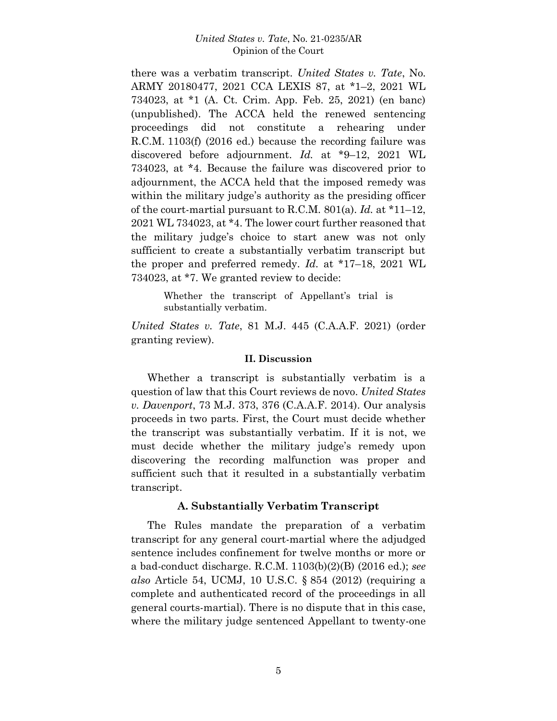there was a verbatim transcript. *United States v. Tate*, No. ARMY 20180477, 2021 CCA LEXIS 87, at \*1–2, 2021 WL 734023, at \*1 (A. Ct. Crim. App. Feb. 25, 2021) (en banc) (unpublished). The ACCA held the renewed sentencing proceedings did not constitute a rehearing under R.C.M. 1103(f) (2016 ed.) because the recording failure was discovered before adjournment. *Id.* at \*9–12, 2021 WL 734023, at \*4. Because the failure was discovered prior to adjournment, the ACCA held that the imposed remedy was within the military judge's authority as the presiding officer of the court-martial pursuant to R.C.M. 801(a). *Id.* at \*11–12, 2021 WL 734023, at \*4. The lower court further reasoned that the military judge's choice to start anew was not only sufficient to create a substantially verbatim transcript but the proper and preferred remedy. *Id.* at \*17–18, 2021 WL 734023, at \*7. We granted review to decide:

> Whether the transcript of Appellant's trial is substantially verbatim.

*United States v. Tate*, 81 M.J. 445 (C.A.A.F. 2021) (order granting review).

### **II. Discussion**

Whether a transcript is substantially verbatim is a question of law that this Court reviews de novo. *United States v. Davenport*, 73 M.J. 373, 376 (C.A.A.F. 2014). Our analysis proceeds in two parts. First, the Court must decide whether the transcript was substantially verbatim. If it is not, we must decide whether the military judge's remedy upon discovering the recording malfunction was proper and sufficient such that it resulted in a substantially verbatim transcript.

## **A. Substantially Verbatim Transcript**

The Rules mandate the preparation of a verbatim transcript for any general court-martial where the adjudged sentence includes confinement for twelve months or more or a bad-conduct discharge. R.C.M. 1103(b)(2)(B) (2016 ed.); *see also* Article 54, UCMJ, 10 U.S.C. § 854 (2012) (requiring a complete and authenticated record of the proceedings in all general courts-martial). There is no dispute that in this case, where the military judge sentenced Appellant to twenty-one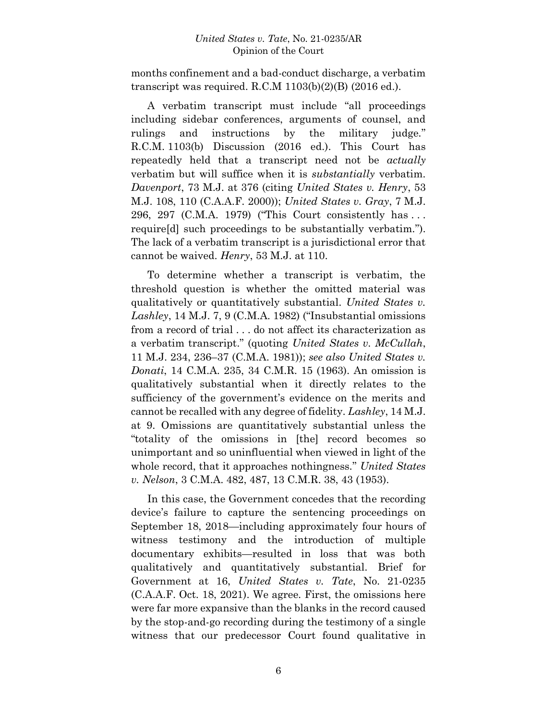months confinement and a bad-conduct discharge, a verbatim transcript was required. R.C.M  $1103(b)(2)(B)$  (2016 ed.).

A verbatim transcript must include "all proceedings including sidebar conferences, arguments of counsel, and rulings and instructions by the military judge." R.C.M. 1103(b) Discussion (2016 ed.). This Court has repeatedly held that a transcript need not be *actually* verbatim but will suffice when it is *substantially* verbatim. *Davenport*, 73 M.J. at 376 (citing *United States v. Henry*, 53 M.J. 108, 110 (C.A.A.F. 2000)); *United States v. Gray*, 7 M.J. 296, 297 (C.M.A. 1979) ("This Court consistently has . . . require[d] such proceedings to be substantially verbatim."). The lack of a verbatim transcript is a jurisdictional error that cannot be waived. *Henry*, 53 M.J. at 110.

To determine whether a transcript is verbatim, the threshold question is whether the omitted material was qualitatively or quantitatively substantial. *United States v. Lashley*, 14 M.J. 7, 9 (C.M.A. 1982) ("Insubstantial omissions from a record of trial . . . do not affect its characterization as a verbatim transcript." (quoting *United States v. McCullah*, 11 M.J. 234, 236–37 (C.M.A. 1981)); *see also United States v. Donati*, 14 C.M.A. 235, 34 C.M.R. 15 (1963). An omission is qualitatively substantial when it directly relates to the sufficiency of the government's evidence on the merits and cannot be recalled with any degree of fidelity. *Lashley*, 14 M.J. at 9. Omissions are quantitatively substantial unless the "totality of the omissions in [the] record becomes so unimportant and so uninfluential when viewed in light of the whole record, that it approaches nothingness." *United States v. Nelson*, 3 C.M.A. 482, 487, 13 C.M.R. 38, 43 (1953).

In this case, the Government concedes that the recording device's failure to capture the sentencing proceedings on September 18, 2018—including approximately four hours of witness testimony and the introduction of multiple documentary exhibits—resulted in loss that was both qualitatively and quantitatively substantial. Brief for Government at 16, *United States v. Tate*, No. 21-0235 (C.A.A.F. Oct. 18, 2021). We agree. First, the omissions here were far more expansive than the blanks in the record caused by the stop-and-go recording during the testimony of a single witness that our predecessor Court found qualitative in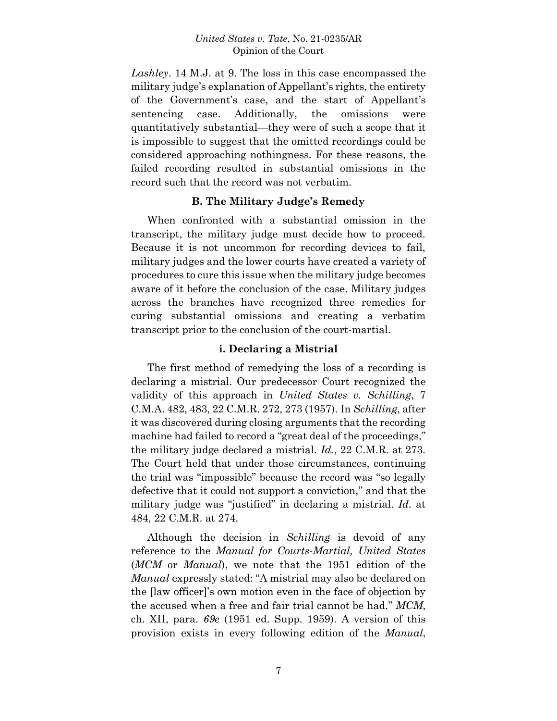*Lashley*. 14 M.J. at 9. The loss in this case encompassed the military judge's explanation of Appellant's rights, the entirety of the Government's case, and the start of Appellant's sentencing case. Additionally, the omissions were quantitatively substantial—they were of such a scope that it is impossible to suggest that the omitted recordings could be considered approaching nothingness. For these reasons, the failed recording resulted in substantial omissions in the record such that the record was not verbatim.

## **B. The Military Judge's Remedy**

When confronted with a substantial omission in the transcript, the military judge must decide how to proceed. Because it is not uncommon for recording devices to fail, military judges and the lower courts have created a variety of procedures to cure this issue when the military judge becomes aware of it before the conclusion of the case. Military judges across the branches have recognized three remedies for curing substantial omissions and creating a verbatim transcript prior to the conclusion of the court-martial.

## **i. Declaring a Mistrial**

The first method of remedying the loss of a recording is declaring a mistrial. Our predecessor Court recognized the validity of this approach in *United States v. Schilling*, 7 C.M.A. 482, 483, 22 C.M.R. 272, 273 (1957). In *Schilling*, after it was discovered during closing arguments that the recording machine had failed to record a "great deal of the proceedings," the military judge declared a mistrial. *Id.*, 22 C.M.R. at 273. The Court held that under those circumstances, continuing the trial was "impossible" because the record was "so legally defective that it could not support a conviction," and that the military judge was "justified" in declaring a mistrial. *Id.* at 484, 22 C.M.R. at 274.

Although the decision in *Schilling* is devoid of any reference to the *Manual for Courts-Martial, United States* (*MCM* or *Manual*), we note that the 1951 edition of the *Manual* expressly stated: "A mistrial may also be declared on the [law officer]'s own motion even in the face of objection by the accused when a free and fair trial cannot be had." *MCM*, ch. XII, para. *69e* (1951 ed. Supp. 1959). A version of this provision exists in every following edition of the *Manual*,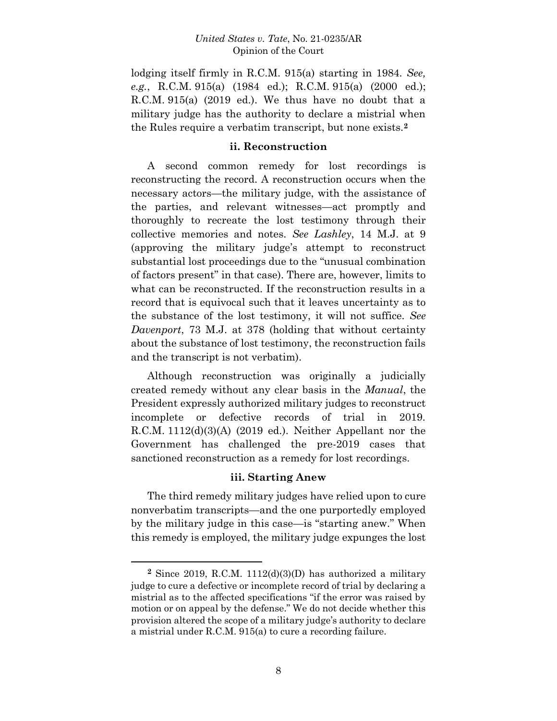lodging itself firmly in R.C.M. 915(a) starting in 1984. *See, e.g.*, R.C.M. 915(a) (1984 ed.); R.C.M. 915(a) (2000 ed.); R.C.M. 915(a) (2019 ed.). We thus have no doubt that a military judge has the authority to declare a mistrial when the Rules require a verbatim transcript, but none exists.**<sup>2</sup>**

### **ii. Reconstruction**

A second common remedy for lost recordings is reconstructing the record. A reconstruction occurs when the necessary actors—the military judge, with the assistance of the parties, and relevant witnesses—act promptly and thoroughly to recreate the lost testimony through their collective memories and notes. *See Lashley*, 14 M.J. at 9 (approving the military judge's attempt to reconstruct substantial lost proceedings due to the "unusual combination of factors present" in that case). There are, however, limits to what can be reconstructed. If the reconstruction results in a record that is equivocal such that it leaves uncertainty as to the substance of the lost testimony, it will not suffice. *See Davenport*, 73 M.J. at 378 (holding that without certainty about the substance of lost testimony, the reconstruction fails and the transcript is not verbatim).

Although reconstruction was originally a judicially created remedy without any clear basis in the *Manual*, the President expressly authorized military judges to reconstruct incomplete or defective records of trial in 2019. R.C.M. 1112(d)(3)(A) (2019 ed.). Neither Appellant nor the Government has challenged the pre-2019 cases that sanctioned reconstruction as a remedy for lost recordings.

### **iii. Starting Anew**

The third remedy military judges have relied upon to cure nonverbatim transcripts—and the one purportedly employed by the military judge in this case—is "starting anew." When this remedy is employed, the military judge expunges the lost

**<sup>2</sup>** Since 2019, R.C.M. 1112(d)(3)(D) has authorized a military judge to cure a defective or incomplete record of trial by declaring a mistrial as to the affected specifications "if the error was raised by motion or on appeal by the defense." We do not decide whether this provision altered the scope of a military judge's authority to declare a mistrial under R.C.M. 915(a) to cure a recording failure.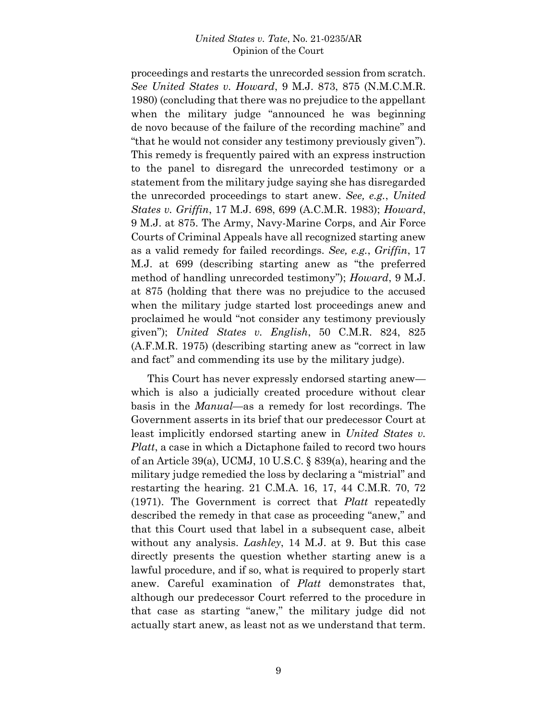proceedings and restarts the unrecorded session from scratch. *See United States v. Howard*, 9 M.J. 873, 875 (N.M.C.M.R. 1980) (concluding that there was no prejudice to the appellant when the military judge "announced he was beginning de novo because of the failure of the recording machine" and "that he would not consider any testimony previously given"). This remedy is frequently paired with an express instruction to the panel to disregard the unrecorded testimony or a statement from the military judge saying she has disregarded the unrecorded proceedings to start anew. *See, e.g.*, *United States v. Griffin*, 17 M.J. 698, 699 (A.C.M.R. 1983); *Howard*, 9 M.J. at 875. The Army, Navy-Marine Corps, and Air Force Courts of Criminal Appeals have all recognized starting anew as a valid remedy for failed recordings. *See, e.g.*, *Griffin*, 17 M.J. at 699 (describing starting anew as "the preferred method of handling unrecorded testimony"); *Howard*, 9 M.J. at 875 (holding that there was no prejudice to the accused when the military judge started lost proceedings anew and proclaimed he would "not consider any testimony previously given"); *United States v. English*, 50 C.M.R. 824, 825 (A.F.M.R. 1975) (describing starting anew as "correct in law and fact" and commending its use by the military judge).

This Court has never expressly endorsed starting anew which is also a judicially created procedure without clear basis in the *Manual*—as a remedy for lost recordings. The Government asserts in its brief that our predecessor Court at least implicitly endorsed starting anew in *United States v. Platt*, a case in which a Dictaphone failed to record two hours of an Article 39(a), UCMJ, 10 U.S.C. § 839(a), hearing and the military judge remedied the loss by declaring a "mistrial" and restarting the hearing. 21 C.M.A. 16, 17, 44 C.M.R. 70, 72 (1971). The Government is correct that *Platt* repeatedly described the remedy in that case as proceeding "anew," and that this Court used that label in a subsequent case, albeit without any analysis. *Lashley*, 14 M.J. at 9. But this case directly presents the question whether starting anew is a lawful procedure, and if so, what is required to properly start anew. Careful examination of *Platt* demonstrates that, although our predecessor Court referred to the procedure in that case as starting "anew," the military judge did not actually start anew, as least not as we understand that term.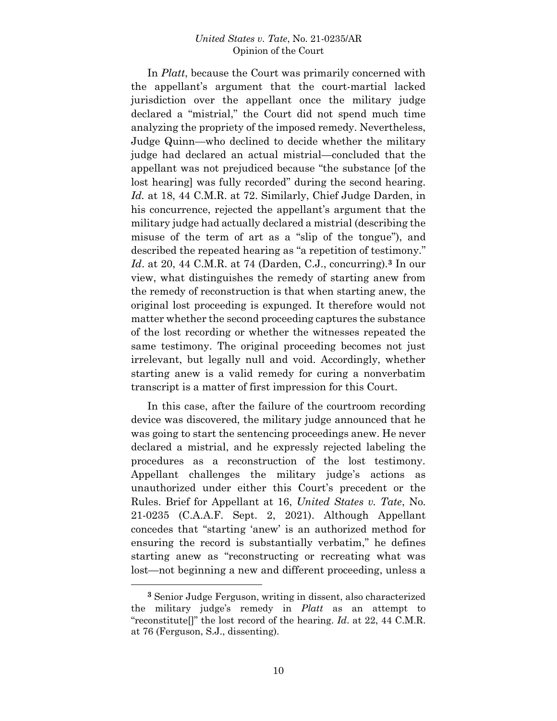In *Platt*, because the Court was primarily concerned with the appellant's argument that the court-martial lacked jurisdiction over the appellant once the military judge declared a "mistrial," the Court did not spend much time analyzing the propriety of the imposed remedy. Nevertheless, Judge Quinn—who declined to decide whether the military judge had declared an actual mistrial—concluded that the appellant was not prejudiced because "the substance [of the lost hearing] was fully recorded" during the second hearing. *Id.* at 18, 44 C.M.R. at 72. Similarly, Chief Judge Darden, in his concurrence, rejected the appellant's argument that the military judge had actually declared a mistrial (describing the misuse of the term of art as a "slip of the tongue"), and described the repeated hearing as "a repetition of testimony." *Id*. at 20, 44 C.M.R. at 74 (Darden, C.J., concurring).**<sup>3</sup>** In our view, what distinguishes the remedy of starting anew from the remedy of reconstruction is that when starting anew, the original lost proceeding is expunged. It therefore would not matter whether the second proceeding captures the substance of the lost recording or whether the witnesses repeated the same testimony. The original proceeding becomes not just irrelevant, but legally null and void. Accordingly, whether starting anew is a valid remedy for curing a nonverbatim transcript is a matter of first impression for this Court.

In this case, after the failure of the courtroom recording device was discovered, the military judge announced that he was going to start the sentencing proceedings anew. He never declared a mistrial, and he expressly rejected labeling the procedures as a reconstruction of the lost testimony. Appellant challenges the military judge's actions as unauthorized under either this Court's precedent or the Rules. Brief for Appellant at 16, *United States v. Tate*, No. 21-0235 (C.A.A.F. Sept. 2, 2021). Although Appellant concedes that "starting 'anew' is an authorized method for ensuring the record is substantially verbatim," he defines starting anew as "reconstructing or recreating what was lost—not beginning a new and different proceeding, unless a

**<sup>3</sup>** Senior Judge Ferguson, writing in dissent, also characterized the military judge's remedy in *Platt* as an attempt to "reconstitute[]" the lost record of the hearing. *Id*. at 22, 44 C.M.R. at 76 (Ferguson, S.J., dissenting).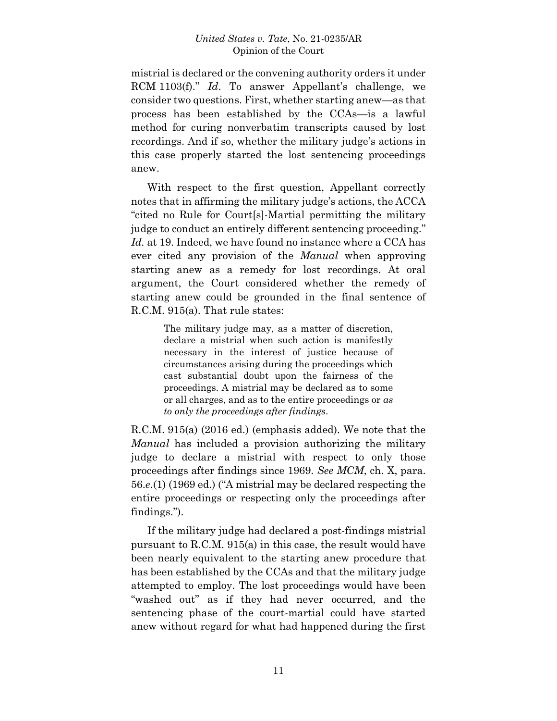mistrial is declared or the convening authority orders it under RCM 1103(f)." *Id*. To answer Appellant's challenge, we consider two questions. First, whether starting anew—as that process has been established by the CCAs—is a lawful method for curing nonverbatim transcripts caused by lost recordings. And if so, whether the military judge's actions in this case properly started the lost sentencing proceedings anew.

With respect to the first question, Appellant correctly notes that in affirming the military judge's actions, the ACCA "cited no Rule for Court[s]-Martial permitting the military judge to conduct an entirely different sentencing proceeding." *Id.* at 19. Indeed, we have found no instance where a CCA has ever cited any provision of the *Manual* when approving starting anew as a remedy for lost recordings. At oral argument, the Court considered whether the remedy of starting anew could be grounded in the final sentence of R.C.M. 915(a). That rule states:

> The military judge may, as a matter of discretion, declare a mistrial when such action is manifestly necessary in the interest of justice because of circumstances arising during the proceedings which cast substantial doubt upon the fairness of the proceedings. A mistrial may be declared as to some or all charges, and as to the entire proceedings or *as to only the proceedings after findings*.

R.C.M. 915(a) (2016 ed.) (emphasis added). We note that the *Manual* has included a provision authorizing the military judge to declare a mistrial with respect to only those proceedings after findings since 1969. *See MCM*, ch. X, para. 56.*e.*(1) (1969 ed.) ("A mistrial may be declared respecting the entire proceedings or respecting only the proceedings after findings.").

If the military judge had declared a post-findings mistrial pursuant to R.C.M. 915(a) in this case, the result would have been nearly equivalent to the starting anew procedure that has been established by the CCAs and that the military judge attempted to employ. The lost proceedings would have been "washed out" as if they had never occurred, and the sentencing phase of the court-martial could have started anew without regard for what had happened during the first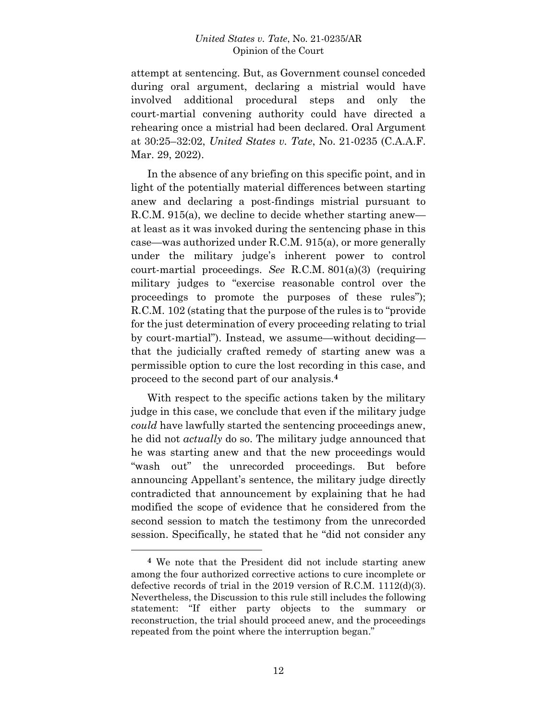attempt at sentencing. But, as Government counsel conceded during oral argument, declaring a mistrial would have involved additional procedural steps and only the court-martial convening authority could have directed a rehearing once a mistrial had been declared. Oral Argument at 30:25–32:02, *United States v. Tate*, No. 21-0235 (C.A.A.F. Mar. 29, 2022).

In the absence of any briefing on this specific point, and in light of the potentially material differences between starting anew and declaring a post-findings mistrial pursuant to R.C.M. 915(a), we decline to decide whether starting anew at least as it was invoked during the sentencing phase in this case—was authorized under R.C.M. 915(a), or more generally under the military judge's inherent power to control court-martial proceedings. *See* R.C.M. 801(a)(3) (requiring military judges to "exercise reasonable control over the proceedings to promote the purposes of these rules"); R.C.M. 102 (stating that the purpose of the rules is to "provide for the just determination of every proceeding relating to trial by court-martial"). Instead, we assume—without deciding that the judicially crafted remedy of starting anew was a permissible option to cure the lost recording in this case, and proceed to the second part of our analysis.**<sup>4</sup>**

With respect to the specific actions taken by the military judge in this case, we conclude that even if the military judge *could* have lawfully started the sentencing proceedings anew, he did not *actually* do so. The military judge announced that he was starting anew and that the new proceedings would "wash out" the unrecorded proceedings. But before announcing Appellant's sentence, the military judge directly contradicted that announcement by explaining that he had modified the scope of evidence that he considered from the second session to match the testimony from the unrecorded session. Specifically, he stated that he "did not consider any

**<sup>4</sup>** We note that the President did not include starting anew among the four authorized corrective actions to cure incomplete or defective records of trial in the 2019 version of R.C.M. 1112(d)(3). Nevertheless, the Discussion to this rule still includes the following statement: "If either party objects to the summary or reconstruction, the trial should proceed anew, and the proceedings repeated from the point where the interruption began."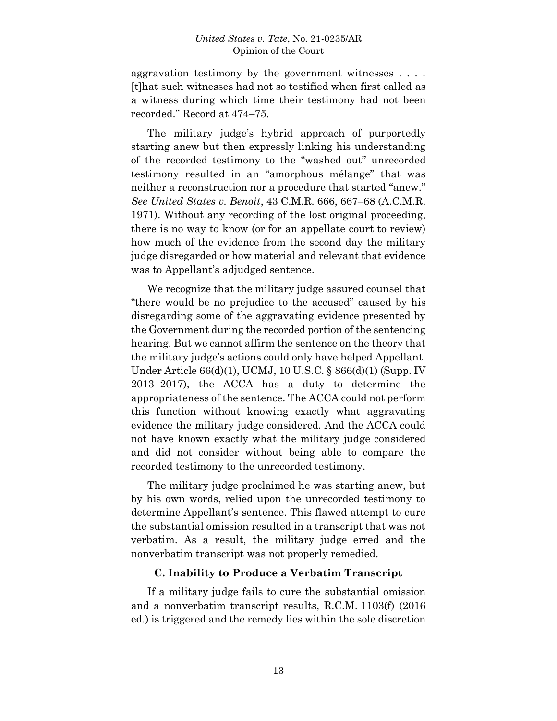aggravation testimony by the government witnesses . . . . [t]hat such witnesses had not so testified when first called as a witness during which time their testimony had not been recorded." Record at 474–75.

The military judge's hybrid approach of purportedly starting anew but then expressly linking his understanding of the recorded testimony to the "washed out" unrecorded testimony resulted in an "amorphous mélange" that was neither a reconstruction nor a procedure that started "anew." *See United States v. Benoit*, 43 C.M.R. 666, 667–68 (A.C.M.R. 1971). Without any recording of the lost original proceeding, there is no way to know (or for an appellate court to review) how much of the evidence from the second day the military judge disregarded or how material and relevant that evidence was to Appellant's adjudged sentence.

We recognize that the military judge assured counsel that "there would be no prejudice to the accused" caused by his disregarding some of the aggravating evidence presented by the Government during the recorded portion of the sentencing hearing. But we cannot affirm the sentence on the theory that the military judge's actions could only have helped Appellant. Under Article 66(d)(1), UCMJ, 10 U.S.C. § 866(d)(1) (Supp. IV 2013–2017), the ACCA has a duty to determine the appropriateness of the sentence. The ACCA could not perform this function without knowing exactly what aggravating evidence the military judge considered. And the ACCA could not have known exactly what the military judge considered and did not consider without being able to compare the recorded testimony to the unrecorded testimony.

The military judge proclaimed he was starting anew, but by his own words, relied upon the unrecorded testimony to determine Appellant's sentence. This flawed attempt to cure the substantial omission resulted in a transcript that was not verbatim. As a result, the military judge erred and the nonverbatim transcript was not properly remedied.

### **C. Inability to Produce a Verbatim Transcript**

If a military judge fails to cure the substantial omission and a nonverbatim transcript results, R.C.M. 1103(f) (2016 ed.) is triggered and the remedy lies within the sole discretion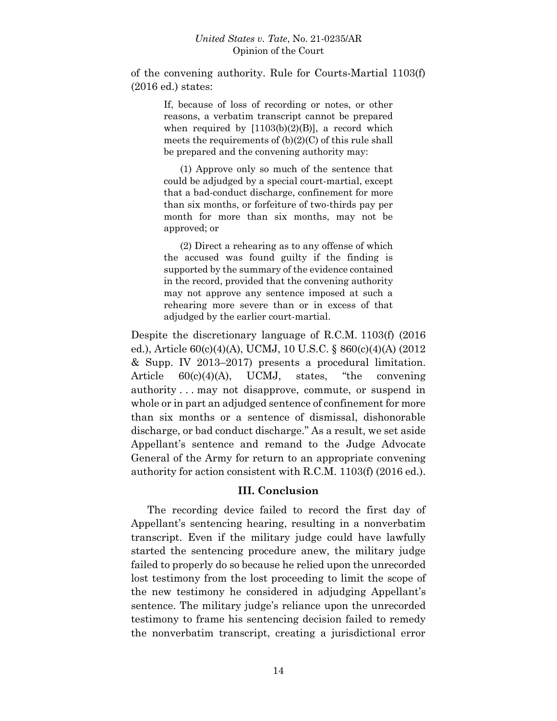of the convening authority. Rule for Courts-Martial 1103(f) (2016 ed.) states:

> If, because of loss of recording or notes, or other reasons, a verbatim transcript cannot be prepared when required by  $[1103(b)(2)(B)]$ , a record which meets the requirements of  $(b)(2)(C)$  of this rule shall be prepared and the convening authority may:

> (1) Approve only so much of the sentence that could be adjudged by a special court-martial, except that a bad-conduct discharge, confinement for more than six months, or forfeiture of two-thirds pay per month for more than six months, may not be approved; or

> (2) Direct a rehearing as to any offense of which the accused was found guilty if the finding is supported by the summary of the evidence contained in the record, provided that the convening authority may not approve any sentence imposed at such a rehearing more severe than or in excess of that adjudged by the earlier court-martial.

Despite the discretionary language of R.C.M. 1103(f) (2016 ed.), Article 60(c)(4)(A), UCMJ, 10 U.S.C. § 860(c)(4)(A) (2012 & Supp. IV 2013–2017) presents a procedural limitation. Article 60(c)(4)(A), UCMJ, states, "the convening authority . . . may not disapprove, commute, or suspend in whole or in part an adjudged sentence of confinement for more than six months or a sentence of dismissal, dishonorable discharge, or bad conduct discharge." As a result, we set aside Appellant's sentence and remand to the Judge Advocate General of the Army for return to an appropriate convening authority for action consistent with R.C.M. 1103(f) (2016 ed.).

## **III. Conclusion**

The recording device failed to record the first day of Appellant's sentencing hearing, resulting in a nonverbatim transcript. Even if the military judge could have lawfully started the sentencing procedure anew, the military judge failed to properly do so because he relied upon the unrecorded lost testimony from the lost proceeding to limit the scope of the new testimony he considered in adjudging Appellant's sentence. The military judge's reliance upon the unrecorded testimony to frame his sentencing decision failed to remedy the nonverbatim transcript, creating a jurisdictional error